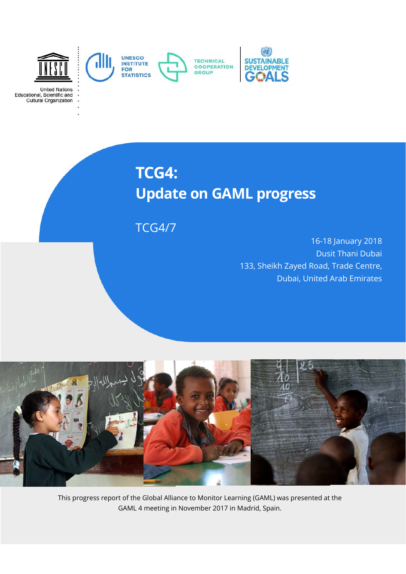

**United Nations** Educational, Scientific and<br>Cultural Organization

# **TCG4: Update on GAML progress**

TCG4/7

16-18 January 2018 Dusit Thani Dubai 133, Sheikh Zayed Road, Trade Centre, Dubai, United Arab Emirates



This progress report of the Global Alliance to Monitor Learning (GAML) was presented at the GAML 4 meeting in November 2017 in Madrid, Spain.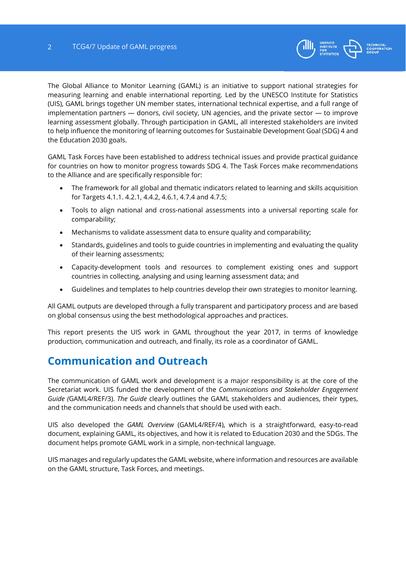

The Global Alliance to Monitor Learning (GAML) is an initiative to support national strategies for measuring learning and enable international reporting. Led by the UNESCO Institute for Statistics (UIS), GAML brings together UN member states, international technical expertise, and a full range of implementation partners — donors, civil society, UN agencies, and the private sector — to improve learning assessment globally. Through participation in GAML, all interested stakeholders are invited to help influence the monitoring of learning outcomes for Sustainable Development Goal (SDG) 4 and the Education 2030 goals.

GAML Task Forces have been established to address technical issues and provide practical guidance for countries on how to monitor progress towards SDG 4. The Task Forces make recommendations to the Alliance and are specifically responsible for:

- The framework for all global and thematic indicators related to learning and skills acquisition for Targets 4.1.1. 4.2.1, 4.4.2, 4.6.1, 4.7.4 and 4.7.5;
- Tools to align national and cross-national assessments into a universal reporting scale for comparability;
- Mechanisms to validate assessment data to ensure quality and comparability;
- Standards, guidelines and tools to guide countries in implementing and evaluating the quality of their learning assessments;
- Capacity-development tools and resources to complement existing ones and support countries in collecting, analysing and using learning assessment data; and
- Guidelines and templates to help countries develop their own strategies to monitor learning.

All GAML outputs are developed through a fully transparent and participatory process and are based on global consensus using the best methodological approaches and practices.

This report presents the UIS work in GAML throughout the year 2017, in terms of knowledge production, communication and outreach, and finally, its role as a coordinator of GAML.

### **Communication and Outreach**

The communication of GAML work and development is a major responsibility is at the core of the Secretariat work. UIS funded the development of the *Communications and Stakeholder Engagement Guide (*GAML4/REF/3). *The Guide* clearly outlines the GAML stakeholders and audiences, their types, and the communication needs and channels that should be used with each.

UIS also developed the *GAML Overview* (GAML4/REF/4), which is a straightforward, easy-to-read document, explaining GAML, its objectives, and how it is related to Education 2030 and the SDGs. The document helps promote GAML work in a simple, non-technical language.

UIS manages and regularly updates the GAML website, where information and resources are available on the GAML structure, Task Forces, and meetings.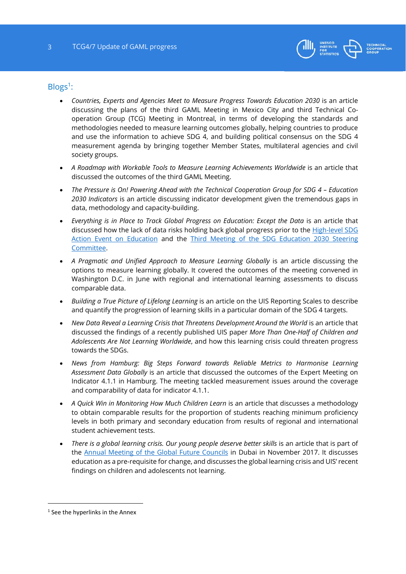

#### $Blogs<sup>1</sup>$ :

- *Countries, Experts and Agencies Meet to Measure Progress Towards Education 2030* is an article discussing the plans of the third GAML Meeting in Mexico City and third Technical Cooperation Group (TCG) Meeting in Montreal, in terms of developing the standards and methodologies needed to measure learning outcomes globally, helping countries to produce and use the information to achieve SDG 4, and building political consensus on the SDG 4 measurement agenda by bringing together Member States, multilateral agencies and civil society groups.
- A Roadmap with Workable Tools to Measure Learning Achievements Worldwide is an article that discussed the outcomes of the third GAML Meeting.
- *The Pressure is On! Powering Ahead with the Technical Cooperation Group for SDG 4 Education 2030 Indicators* is an article discussing indicator development given the tremendous gaps in data, methodology and capacity-building.
- Everything is in Place to Track Global Progress on Education: Except the Data is an article that discussed how the lack of data risks holding back global progress prior to the High-level SDG Action Event on Education and the Third Meeting of the SDG Education 2030 Steering Committee.
- A Pragmatic and Unified Approach to Measure Learning Globally is an article discussing the options to measure learning globally. It covered the outcomes of the meeting convened in Washington D.C. in June with regional and international learning assessments to discuss comparable data.
- *Building a True Picture of Lifelong Learning* is an article on the UIS Reporting Scales to describe and quantify the progression of learning skills in a particular domain of the SDG 4 targets.
- *New Data Reveal a Learning Crisis that Threatens Development Around the World* is an article that discussed the findings of a recently published UIS paper *More Than One-Half of Children and Adolescents Are Not Learning Worldwide*, and how this learning crisis could threaten progress towards the SDGs.
- *News from Hamburg: Big Steps Forward towards Reliable Metrics to Harmonise Learning Assessment Data Globally* is an article that discussed the outcomes of the Expert Meeting on Indicator 4.1.1 in Hamburg. The meeting tackled measurement issues around the coverage and comparability of data for indicator 4.1.1.
- *A Quick Win in Monitoring How Much Children Learn* is an article that discusses a methodology to obtain comparable results for the proportion of students reaching minimum proficiency levels in both primary and secondary education from results of regional and international student achievement tests.
- *There is a global learning crisis. Our young people deserve better skills is an article that is part of* the Annual Meeting of the Global Future Councils in Dubai in November 2017. It discusses education as a pre-requisite for change, and discusses the global learning crisis and UIS' recent findings on children and adolescents not learning.

1

<sup>&</sup>lt;sup>1</sup> See the hyperlinks in the Annex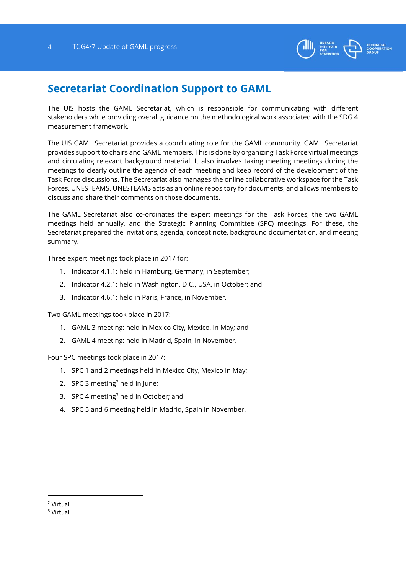

### **Secretariat Coordination Support to GAML**

The UIS hosts the GAML Secretariat, which is responsible for communicating with different stakeholders while providing overall guidance on the methodological work associated with the SDG 4 measurement framework.

The UIS GAML Secretariat provides a coordinating role for the GAML community. GAML Secretariat provides support to chairs and GAML members. This is done by organizing Task Force virtual meetings and circulating relevant background material. It also involves taking meeting meetings during the meetings to clearly outline the agenda of each meeting and keep record of the development of the Task Force discussions. The Secretariat also manages the online collaborative workspace for the Task Forces, UNESTEAMS. UNESTEAMS acts as an online repository for documents, and allows members to discuss and share their comments on those documents.

The GAML Secretariat also co-ordinates the expert meetings for the Task Forces, the two GAML meetings held annually, and the Strategic Planning Committee (SPC) meetings. For these, the Secretariat prepared the invitations, agenda, concept note, background documentation, and meeting summary.

Three expert meetings took place in 2017 for:

- 1. Indicator 4.1.1: held in Hamburg, Germany, in September;
- 2. Indicator 4.2.1: held in Washington, D.C., USA, in October; and
- 3. Indicator 4.6.1: held in Paris, France, in November.

Two GAML meetings took place in 2017:

- 1. GAML 3 meeting: held in Mexico City, Mexico, in May; and
- 2. GAML 4 meeting: held in Madrid, Spain, in November.

Four SPC meetings took place in 2017:

- 1. SPC 1 and 2 meetings held in Mexico City, Mexico in May;
- 2. SPC 3 meeting<sup>2</sup> held in June;
- 3. SPC 4 meeting<sup>3</sup> held in October; and
- 4. SPC 5 and 6 meeting held in Madrid, Spain in November.

-

<sup>2</sup> Virtual

<sup>3</sup> Virtual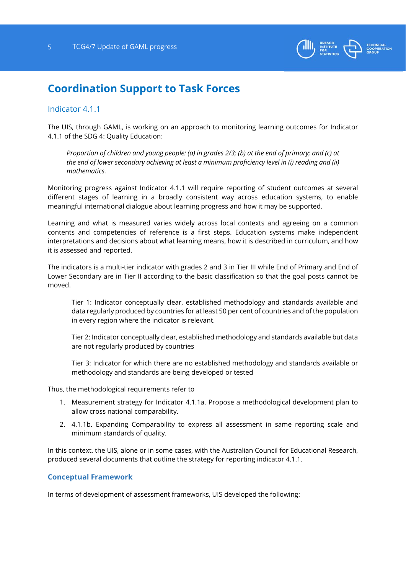

### **Coordination Support to Task Forces**

#### Indicator 4.1.1

The UIS, through GAML, is working on an approach to monitoring learning outcomes for Indicator 4.1.1 of the SDG 4: Quality Education:

*Proportion of children and young people: (a) in grades 2/3; (b) at the end of primary; and (c) at the end of lower secondary achieving at least a minimum proficiency level in (i) reading and (ii) mathematics.* 

Monitoring progress against Indicator 4.1.1 will require reporting of student outcomes at several different stages of learning in a broadly consistent way across education systems, to enable meaningful international dialogue about learning progress and how it may be supported.

Learning and what is measured varies widely across local contexts and agreeing on a common contents and competencies of reference is a first steps. Education systems make independent interpretations and decisions about what learning means, how it is described in curriculum, and how it is assessed and reported.

The indicators is a multi-tier indicator with grades 2 and 3 in Tier III while End of Primary and End of Lower Secondary are in Tier II according to the basic classification so that the goal posts cannot be moved.

Tier 1: Indicator conceptually clear, established methodology and standards available and data regularly produced by countries for at least 50 per cent of countries and of the population in every region where the indicator is relevant.

Tier 2: Indicator conceptually clear, established methodology and standards available but data are not regularly produced by countries

Tier 3: Indicator for which there are no established methodology and standards available or methodology and standards are being developed or tested

Thus, the methodological requirements refer to

- 1. Measurement strategy for Indicator 4.1.1a. Propose a methodological development plan to allow cross national comparability.
- 2. 4.1.1b. Expanding Comparability to express all assessment in same reporting scale and minimum standards of quality.

In this context, the UIS, alone or in some cases, with the Australian Council for Educational Research, produced several documents that outline the strategy for reporting indicator 4.1.1.

#### **Conceptual Framework**

In terms of development of assessment frameworks, UIS developed the following: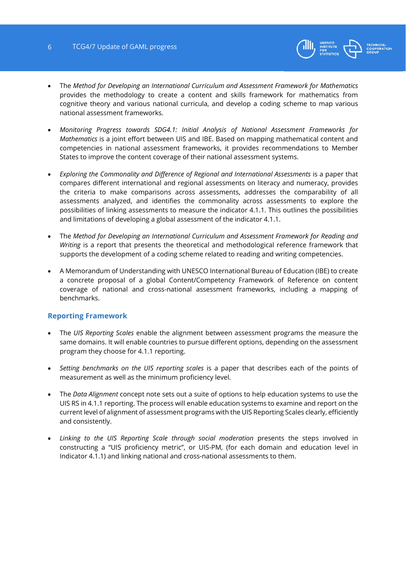

- The *Method for Developing an International Curriculum and Assessment Framework for Mathematics* provides the methodology to create a content and skills framework for mathematics from cognitive theory and various national curricula, and develop a coding scheme to map various national assessment frameworks.
- *Monitoring Progress towards SDG4.1: Initial Analysis of National Assessment Frameworks for Mathematics* is a joint effort between UIS and IBE. Based on mapping mathematical content and competencies in national assessment frameworks, it provides recommendations to Member States to improve the content coverage of their national assessment systems.
- *Exploring the Commonality and Difference of Regional and International Assessments is a paper that* compares different international and regional assessments on literacy and numeracy, provides the criteria to make comparisons across assessments, addresses the comparability of all assessments analyzed, and identifies the commonality across assessments to explore the possibilities of linking assessments to measure the indicator 4.1.1. This outlines the possibilities and limitations of developing a global assessment of the indicator 4.1.1.
- The *Method for Developing an International Curriculum and Assessment Framework for Reading and Writing* is a report that presents the theoretical and methodological reference framework that supports the development of a coding scheme related to reading and writing competencies.
- A Memorandum of Understanding with UNESCO International Bureau of Education (IBE) to create a concrete proposal of a global Content/Competency Framework of Reference on content coverage of national and cross-national assessment frameworks, including a mapping of benchmarks.

#### **Reporting Framework**

- The *UIS Reporting Scales* enable the alignment between assessment programs the measure the same domains. It will enable countries to pursue different options, depending on the assessment program they choose for 4.1.1 reporting.
- *Setting benchmarks on the UIS reporting scales* is a paper that describes each of the points of measurement as well as the minimum proficiency level.
- The *Data Alignment* concept note sets out a suite of options to help education systems to use the UIS RS in 4.1.1 reporting. The process will enable education systems to examine and report on the current level of alignment of assessment programs with the UIS Reporting Scales clearly, efficiently and consistently.
- *Linking to the UIS Reporting Scale through social moderation* presents the steps involved in constructing a "UIS proficiency metric", or UIS-PM, (for each domain and education level in Indicator 4.1.1) and linking national and cross-national assessments to them.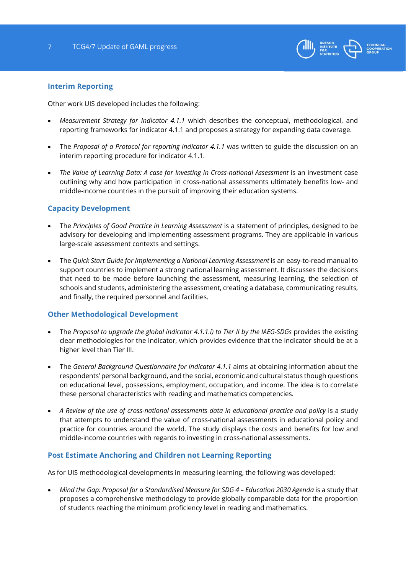

#### **Interim Reporting**

Other work UIS developed includes the following:

- *Measurement Strategy for Indicator 4.1.1* which describes the conceptual, methodological, and reporting frameworks for indicator 4.1.1 and proposes a strategy for expanding data coverage.
- The *Proposal of a Protocol for reporting indicator 4.1.1* was written to guide the discussion on an interim reporting procedure for indicator 4.1.1.
- *The Value of Learning Data: A case for Investing in Cross-national Assessment* is an investment case outlining why and how participation in cross-national assessments ultimately benefits low- and middle-income countries in the pursuit of improving their education systems.

#### **Capacity Development**

- The *Principles of Good Practice in Learning Assessment* is a statement of principles, designed to be advisory for developing and implementing assessment programs. They are applicable in various large-scale assessment contexts and settings.
- The *Quick Start Guide for Implementing a National Learning Assessment* is an easy-to-read manual to support countries to implement a strong national learning assessment. It discusses the decisions that need to be made before launching the assessment, measuring learning, the selection of schools and students, administering the assessment, creating a database, communicating results, and finally, the required personnel and facilities.

#### **Other Methodological Development**

- The *Proposal to upgrade the global indicator 4.1.1.i) to Tier II by the IAEG-SDGs* provides the existing clear methodologies for the indicator, which provides evidence that the indicator should be at a higher level than Tier III.
- The *General Background Questionnaire for Indicator 4.1.1* aims at obtaining information about the respondents' personal background, and the social, economic and cultural status though questions on educational level, possessions, employment, occupation, and income. The idea is to correlate these personal characteristics with reading and mathematics competencies.
- A Review of the use of cross-national assessments data in educational practice and policy is a study that attempts to understand the value of cross-national assessments in educational policy and practice for countries around the world. The study displays the costs and benefits for low and middle-income countries with regards to investing in cross-national assessments.

#### **Post Estimate Anchoring and Children not Learning Reporting**

As for UIS methodological developments in measuring learning, the following was developed:

• Mind the Gap: Proposal for a Standardised Measure for SDG 4 - Education 2030 Agenda is a study that proposes a comprehensive methodology to provide globally comparable data for the proportion of students reaching the minimum proficiency level in reading and mathematics.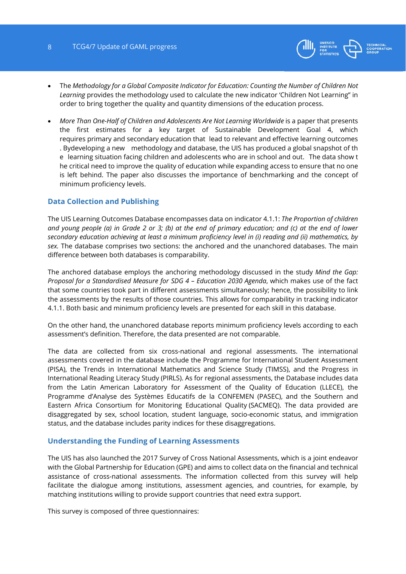

- The *Methodology for a Global Composite Indicator for Education: Counting the Number of Children Not Learning* provides the methodology used to calculate the new indicator 'Children Not Learning" in order to bring together the quality and quantity dimensions of the education process.
- *More Than One-Half of Children and Adolescents Are Not Learning Worldwide* is a paper that presents the first estimates for a key target of Sustainable Development Goal 4, which requires primary and secondary education that lead to relevant and effective learning outcomes . Bydeveloping a new methodology and database, the UIS has produced a global snapshot of th e learning situation facing children and adolescents who are in school and out. The data show t he critical need to improve the quality of education while expanding access to ensure that no one is left behind. The paper also discusses the importance of benchmarking and the concept of minimum proficiency levels.

#### **Data Collection and Publishing**

The UIS Learning Outcomes Database encompasses data on indicator 4.1.1: *The Proportion of children and young people (a) in Grade 2 or 3; (b) at the end of primary education; and (c) at the end of lower secondary education achieving at least a minimum proficiency level in (i) reading and (ii) mathematics, by sex.* The database comprises two sections: the anchored and the unanchored databases. The main difference between both databases is comparability.

The anchored database employs the anchoring methodology discussed in the study *Mind the Gap: Proposal for a Standardised Measure for SDG 4 – Education 2030 Agenda*, which makes use of the fact that some countries took part in different assessments simultaneously; hence, the possibility to link the assessments by the results of those countries. This allows for comparability in tracking indicator 4.1.1. Both basic and minimum proficiency levels are presented for each skill in this database.

On the other hand, the unanchored database reports minimum proficiency levels according to each assessment's definition. Therefore, the data presented are not comparable.

The data are collected from six cross-national and regional assessments. The international assessments covered in the database include the Programme for International Student Assessment (PISA), the Trends in International Mathematics and Science Study (TIMSS), and the Progress in International Reading Literacy Study (PIRLS). As for regional assessments, the Database includes data from the Latin American Laboratory for Assessment of the Quality of Education (LLECE), the Programme d'Analyse des Systèmes Educatifs de la CONFEMEN (PASEC), and the Southern and Eastern Africa Consortium for Monitoring Educational Quality (SACMEQ). The data provided are disaggregated by sex, school location, student language, socio-economic status, and immigration status, and the database includes parity indices for these disaggregations.

#### **Understanding the Funding of Learning Assessments**

The UIS has also launched the 2017 Survey of Cross National Assessments, which is a joint endeavor with the Global Partnership for Education (GPE) and aims to collect data on the financial and technical assistance of cross-national assessments. The information collected from this survey will help facilitate the dialogue among institutions, assessment agencies, and countries, for example, by matching institutions willing to provide support countries that need extra support.

This survey is composed of three questionnaires: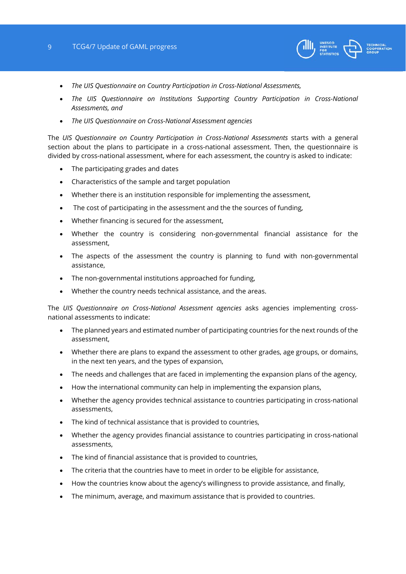#### 9 TCG4/7 Update of GAML progress



- *The UIS Questionnaire on Country Participation in Cross-National Assessments,*
- *The UIS Questionnaire on Institutions Supporting Country Participation in Cross-National Assessments, and*
- *The UIS Questionnaire on Cross-National Assessment agencies*

The *UIS Questionnaire on Country Participation in Cross-National Assessments* starts with a general section about the plans to participate in a cross-national assessment. Then, the questionnaire is divided by cross-national assessment, where for each assessment, the country is asked to indicate:

- The participating grades and dates
- Characteristics of the sample and target population
- Whether there is an institution responsible for implementing the assessment,
- The cost of participating in the assessment and the the sources of funding,
- Whether financing is secured for the assessment,
- Whether the country is considering non-governmental financial assistance for the assessment,
- The aspects of the assessment the country is planning to fund with non-governmental assistance,
- The non-governmental institutions approached for funding,
- Whether the country needs technical assistance, and the areas.

The *UIS Questionnaire on Cross-National Assessment agencies* asks agencies implementing crossnational assessments to indicate:

- The planned years and estimated number of participating countries for the next rounds of the assessment,
- Whether there are plans to expand the assessment to other grades, age groups, or domains, in the next ten years, and the types of expansion,
- The needs and challenges that are faced in implementing the expansion plans of the agency,
- How the international community can help in implementing the expansion plans,
- Whether the agency provides technical assistance to countries participating in cross-national assessments,
- The kind of technical assistance that is provided to countries,
- Whether the agency provides financial assistance to countries participating in cross-national assessments,
- The kind of financial assistance that is provided to countries,
- The criteria that the countries have to meet in order to be eligible for assistance,
- How the countries know about the agency's willingness to provide assistance, and finally,
- The minimum, average, and maximum assistance that is provided to countries.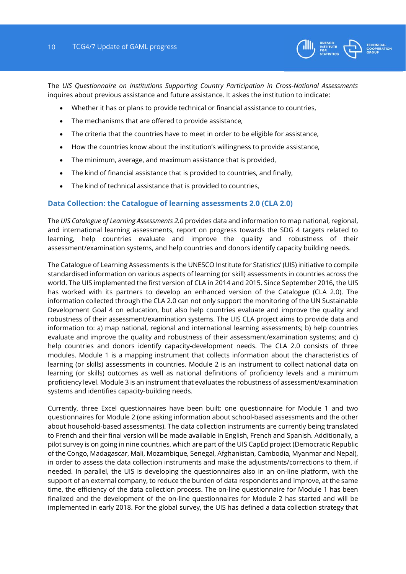

The *UIS Questionnaire on Institutions Supporting Country Participation in Cross-National Assessments*  inquires about previous assistance and future assistance. It askes the institution to indicate:

- Whether it has or plans to provide technical or financial assistance to countries,
- The mechanisms that are offered to provide assistance,
- The criteria that the countries have to meet in order to be eligible for assistance,
- How the countries know about the institution's willingness to provide assistance,
- The minimum, average, and maximum assistance that is provided,
- The kind of financial assistance that is provided to countries, and finally,
- The kind of technical assistance that is provided to countries,

#### **Data Collection: the Catalogue of learning assessments 2.0 (CLA 2.0)**

The *UIS Catalogue of Learning Assessments 2.0* provides data and information to map national, regional, and international learning assessments, report on progress towards the SDG 4 targets related to learning, help countries evaluate and improve the quality and robustness of their assessment/examination systems, and help countries and donors identify capacity building needs.

The Catalogue of Learning Assessments is the UNESCO Institute for Statistics' (UIS) initiative to compile standardised information on various aspects of learning (or skill) assessments in countries across the world. The UIS implemented the first version of CLA in 2014 and 2015. Since September 2016, the UIS has worked with its partners to develop an enhanced version of the Catalogue (CLA 2.0). The information collected through the CLA 2.0 can not only support the monitoring of the UN Sustainable Development Goal 4 on education, but also help countries evaluate and improve the quality and robustness of their assessment/examination systems. The UIS CLA project aims to provide data and information to: a) map national, regional and international learning assessments; b) help countries evaluate and improve the quality and robustness of their assessment/examination systems; and c) help countries and donors identify capacity-development needs. The CLA 2.0 consists of three modules. Module 1 is a mapping instrument that collects information about the characteristics of learning (or skills) assessments in countries. Module 2 is an instrument to collect national data on learning (or skills) outcomes as well as national definitions of proficiency levels and a minimum proficiency level. Module 3 is an instrument that evaluates the robustness of assessment/examination systems and identifies capacity‐building needs.

Currently, three Excel questionnaires have been built: one questionnaire for Module 1 and two questionnaires for Module 2 (one asking information about school-based assessments and the other about household-based assessments). The data collection instruments are currently being translated to French and their final version will be made available in English, French and Spanish. Additionally, a pilot survey is on going in nine countries, which are part of the UIS CapEd project (Democratic Republic of the Congo, Madagascar, Mali, Mozambique, Senegal, Afghanistan, Cambodia, Myanmar and Nepal), in order to assess the data collection instruments and make the adjustments/corrections to them, if needed. In parallel, the UIS is developing the questionnaires also in an on-line platform, with the support of an external company, to reduce the burden of data respondents and improve, at the same time, the efficiency of the data collection process. The on-line questionnaire for Module 1 has been finalized and the development of the on-line questionnaires for Module 2 has started and will be implemented in early 2018. For the global survey, the UIS has defined a data collection strategy that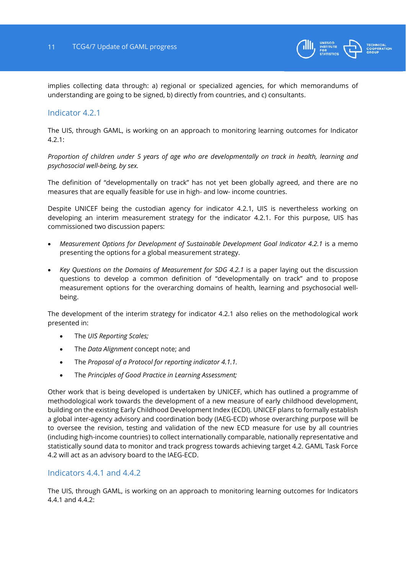

implies collecting data through: a) regional or specialized agencies, for which memorandums of understanding are going to be signed, b) directly from countries, and c) consultants.

#### Indicator 4.2.1

The UIS, through GAML, is working on an approach to monitoring learning outcomes for Indicator 4.2.1:

*Proportion of children under 5 years of age who are developmentally on track in health, learning and psychosocial well-being, by sex.* 

The definition of "developmentally on track" has not yet been globally agreed, and there are no measures that are equally feasible for use in high- and low- income countries.

Despite UNICEF being the custodian agency for indicator 4.2.1, UIS is nevertheless working on developing an interim measurement strategy for the indicator 4.2.1. For this purpose, UIS has commissioned two discussion papers:

- *Measurement Options for Development of Sustainable Development Goal Indicator 4.2.1* is a memo presenting the options for a global measurement strategy.
- *Key Questions on the Domains of Measurement for SDG 4.2.1* is a paper laying out the discussion questions to develop a common definition of "developmentally on track" and to propose measurement options for the overarching domains of health, learning and psychosocial wellbeing.

The development of the interim strategy for indicator 4.2.1 also relies on the methodological work presented in:

- The *UIS Reporting Scales;*
- The *Data Alignment* concept note; and
- The *Proposal of a Protocol for reporting indicator 4.1.1.*
- The *Principles of Good Practice in Learning Assessment;*

Other work that is being developed is undertaken by UNICEF, which has outlined a programme of methodological work towards the development of a new measure of early childhood development, building on the existing Early Childhood Development Index (ECDI). UNICEF plans to formally establish a global inter-agency advisory and coordination body (IAEG-ECD) whose overarching purpose will be to oversee the revision, testing and validation of the new ECD measure for use by all countries (including high-income countries) to collect internationally comparable, nationally representative and statistically sound data to monitor and track progress towards achieving target 4.2. GAML Task Force 4.2 will act as an advisory board to the IAEG-ECD.

#### Indicators 4.4.1 and 4.4.2

The UIS, through GAML, is working on an approach to monitoring learning outcomes for Indicators 4.4.1 and  $4.4.2$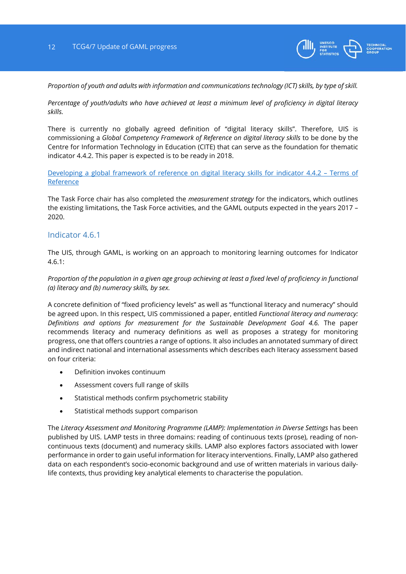

*Proportion of youth and adults with information and communications technology (ICT) skills, by type of skill.* 

*Percentage of youth/adults who have achieved at least a minimum level of proficiency in digital literacy skills.* 

There is currently no globally agreed definition of "digital literacy skills". Therefore, UIS is commissioning a *Global Competency Framework of Reference on digital literacy skills* to be done by the Centre for Information Technology in Education (CITE) that can serve as the foundation for thematic indicator 4.4.2. This paper is expected is to be ready in 2018.

Developing a global framework of reference on digital literacy skills for indicator 4.4.2 – Terms of Reference

The Task Force chair has also completed the *measurement strategy* for the indicators, which outlines the existing limitations, the Task Force activities, and the GAML outputs expected in the years 2017 – 2020.

#### Indicator 4.6.1

The UIS, through GAML, is working on an approach to monitoring learning outcomes for Indicator 4.6.1:

#### *Proportion of the population in a given age group achieving at least a fixed level of proficiency in functional (a) literacy and (b) numeracy skills, by sex.*

A concrete definition of "fixed proficiency levels" as well as "functional literacy and numeracy" should be agreed upon. In this respect, UIS commissioned a paper, entitled *Functional literacy and numeracy: Definitions and options for measurement for the Sustainable Development Goal 4.6.* The paper recommends literacy and numeracy definitions as well as proposes a strategy for monitoring progress, one that offers countries a range of options. It also includes an annotated summary of direct and indirect national and international assessments which describes each literacy assessment based on four criteria:

- Definition invokes continuum
- Assessment covers full range of skills
- Statistical methods confirm psychometric stability
- Statistical methods support comparison

The *Literacy Assessment and Monitoring Programme (LAMP): Implementation in Diverse Settings* has been published by UIS. LAMP tests in three domains: reading of continuous texts (prose), reading of noncontinuous texts (document) and numeracy skills. LAMP also explores factors associated with lower performance in order to gain useful information for literacy interventions. Finally, LAMP also gathered data on each respondent's socio-economic background and use of written materials in various dailylife contexts, thus providing key analytical elements to characterise the population.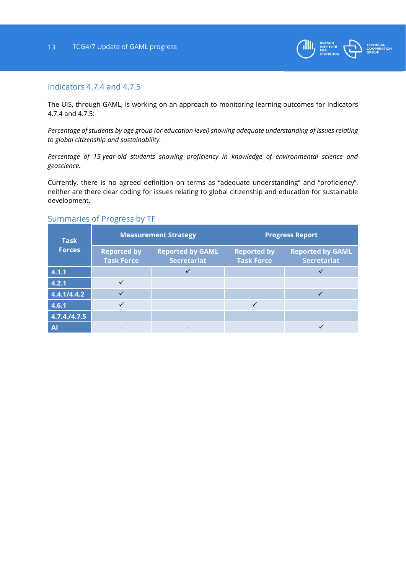

#### Indicators 4.7.4 and 4.7.5

The UIS, through GAML, is working on an approach to monitoring learning outcomes for Indicators 4.7.4 and 4.7.5:

*Percentage of students by age group (or education level) showing adequate understanding of issues relating to global citizenship and sustainability.* 

*Percentage of 15-year-old students showing proficiency in knowledge of environmental science and geoscience.* 

Currently, there is no agreed definition on terms as "adequate understanding" and "proficiency", neither are there clear coding for issues relating to global citizenship and education for sustainable development.

#### Summaries of Progress by TF

| <b>Task</b><br><b>Forces</b> | <b>Measurement Strategy</b>             |                                               | <b>Progress Report</b>                  |                                               |
|------------------------------|-----------------------------------------|-----------------------------------------------|-----------------------------------------|-----------------------------------------------|
|                              | <b>Reported by</b><br><b>Task Force</b> | <b>Reported by GAML</b><br><b>Secretariat</b> | <b>Reported by</b><br><b>Task Force</b> | <b>Reported by GAML</b><br><b>Secretariat</b> |
| 4.1.1                        |                                         |                                               |                                         |                                               |
| 4.2.1                        |                                         |                                               |                                         |                                               |
| 4.4.1/4.4.2                  |                                         |                                               |                                         |                                               |
| 4.6.1                        |                                         |                                               |                                         |                                               |
| 4.7.4./4.7.5                 |                                         |                                               |                                         |                                               |
| A                            |                                         |                                               |                                         |                                               |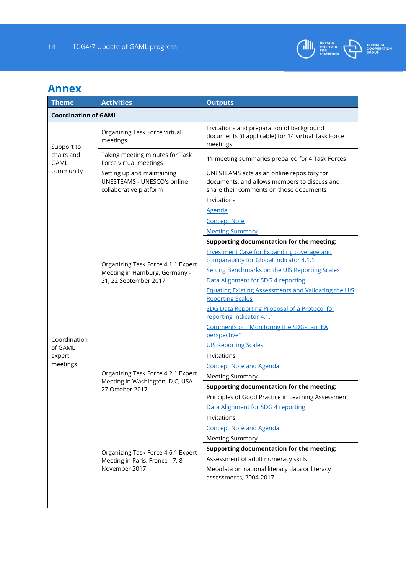

## **Annex**

| <b>Theme</b>                                  | <b>Activities</b>                                                                          | <b>Outputs</b>                                                                                                                        |  |  |  |
|-----------------------------------------------|--------------------------------------------------------------------------------------------|---------------------------------------------------------------------------------------------------------------------------------------|--|--|--|
| <b>Coordination of GAML</b>                   |                                                                                            |                                                                                                                                       |  |  |  |
| Support to<br>chairs and<br>GAML<br>community | Organizing Task Force virtual<br>meetings                                                  | Invitations and preparation of background<br>documents (if applicable) for 14 virtual Task Force<br>meetings                          |  |  |  |
|                                               | Taking meeting minutes for Task<br>Force virtual meetings                                  | 11 meeting summaries prepared for 4 Task Forces                                                                                       |  |  |  |
|                                               | Setting up and maintaining<br><b>UNESTEAMS - UNESCO's online</b><br>collaborative platform | UNESTEAMS acts as an online repository for<br>documents, and allows members to discuss and<br>share their comments on those documents |  |  |  |
|                                               |                                                                                            | Invitations                                                                                                                           |  |  |  |
|                                               |                                                                                            | Agenda                                                                                                                                |  |  |  |
|                                               |                                                                                            | <b>Concept Note</b>                                                                                                                   |  |  |  |
|                                               |                                                                                            | <b>Meeting Summary</b>                                                                                                                |  |  |  |
|                                               | Organizing Task Force 4.1.1 Expert<br>Meeting in Hamburg, Germany -                        | Supporting documentation for the meeting:                                                                                             |  |  |  |
|                                               |                                                                                            | <b>Investment Case for Expanding coverage and</b><br>comparability for Global Indicator 4.1.1                                         |  |  |  |
|                                               |                                                                                            | <b>Setting Benchmarks on the UIS Reporting Scales</b><br>Data Alignment for SDG 4 reporting                                           |  |  |  |
|                                               | 21, 22 September 2017                                                                      | <b>Equating Existing Assessments and Validating the UIS</b>                                                                           |  |  |  |
|                                               |                                                                                            | <b>Reporting Scales</b>                                                                                                               |  |  |  |
|                                               |                                                                                            | SDG Data Reporting Proposal of a Protocol for<br>reporting Indicator 4.1.1                                                            |  |  |  |
| Coordination                                  |                                                                                            | Comments on "Monitoring the SDGs: an IEA<br>perspective"                                                                              |  |  |  |
| of GAML                                       |                                                                                            | <b>UIS Reporting Scales</b>                                                                                                           |  |  |  |
| expert                                        |                                                                                            | Invitations                                                                                                                           |  |  |  |
| meetings                                      | Organizing Task Force 4.2.1 Expert<br>Meeting in Washington, D.C, USA -<br>27 October 2017 | <b>Concept Note and Agenda</b>                                                                                                        |  |  |  |
|                                               |                                                                                            | <b>Meeting Summary</b>                                                                                                                |  |  |  |
|                                               |                                                                                            | Supporting documentation for the meeting:                                                                                             |  |  |  |
|                                               |                                                                                            | Principles of Good Practice in Learning Assessment                                                                                    |  |  |  |
|                                               |                                                                                            | Data Alignment for SDG 4 reporting                                                                                                    |  |  |  |
|                                               | Organizing Task Force 4.6.1 Expert<br>Meeting in Paris, France - 7, 8<br>November 2017     | Invitations                                                                                                                           |  |  |  |
|                                               |                                                                                            | <b>Concept Note and Agenda</b>                                                                                                        |  |  |  |
|                                               |                                                                                            | <b>Meeting Summary</b>                                                                                                                |  |  |  |
|                                               |                                                                                            | Supporting documentation for the meeting:                                                                                             |  |  |  |
|                                               |                                                                                            | Assessment of adult numeracy skills                                                                                                   |  |  |  |
|                                               |                                                                                            | Metadata on national literacy data or literacy<br>assessments, 2004-2017                                                              |  |  |  |
|                                               |                                                                                            |                                                                                                                                       |  |  |  |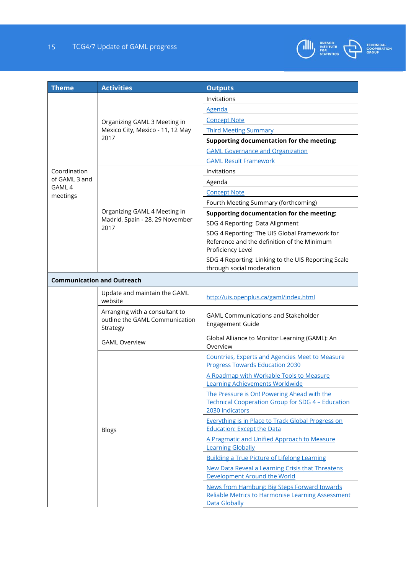### 15 TCG4/7 Update of GAML progress



| <b>Theme</b>                      | <b>Activities</b>                                                            | <b>Outputs</b>                                                                                                             |  |  |
|-----------------------------------|------------------------------------------------------------------------------|----------------------------------------------------------------------------------------------------------------------------|--|--|
|                                   |                                                                              | Invitations                                                                                                                |  |  |
|                                   |                                                                              | <b>Agenda</b>                                                                                                              |  |  |
|                                   | Organizing GAML 3 Meeting in<br>Mexico City, Mexico - 11, 12 May             | <b>Concept Note</b>                                                                                                        |  |  |
|                                   |                                                                              | <b>Third Meeting Summary</b>                                                                                               |  |  |
|                                   | 2017                                                                         | Supporting documentation for the meeting:                                                                                  |  |  |
|                                   |                                                                              | <b>GAML Governance and Organization</b>                                                                                    |  |  |
|                                   |                                                                              | <b>GAML Result Framework</b>                                                                                               |  |  |
| Coordination                      |                                                                              | Invitations                                                                                                                |  |  |
| of GAML 3 and<br>GAML 4           |                                                                              | Agenda                                                                                                                     |  |  |
| meetings                          |                                                                              | <b>Concept Note</b>                                                                                                        |  |  |
|                                   | Organizing GAML 4 Meeting in                                                 | Fourth Meeting Summary (forthcoming)                                                                                       |  |  |
|                                   |                                                                              | Supporting documentation for the meeting:                                                                                  |  |  |
|                                   | Madrid, Spain - 28, 29 November<br>2017                                      | SDG 4 Reporting: Data Alignment                                                                                            |  |  |
|                                   |                                                                              | SDG 4 Reporting: The UIS Global Framework for<br>Reference and the definition of the Minimum<br>Proficiency Level          |  |  |
|                                   |                                                                              | SDG 4 Reporting: Linking to the UIS Reporting Scale<br>through social moderation                                           |  |  |
| <b>Communication and Outreach</b> |                                                                              |                                                                                                                            |  |  |
|                                   | Update and maintain the GAML<br>website                                      | http://uis.openplus.ca/gaml/index.html                                                                                     |  |  |
|                                   | Arranging with a consultant to<br>outline the GAML Communication<br>Strategy | <b>GAML Communications and Stakeholder</b><br><b>Engagement Guide</b>                                                      |  |  |
|                                   | <b>GAML Overview</b>                                                         | Global Alliance to Monitor Learning (GAML): An<br>Overview                                                                 |  |  |
|                                   |                                                                              | <b>Countries, Experts and Agencies Meet to Measure</b><br><b>Progress Towards Education 2030</b>                           |  |  |
|                                   |                                                                              | A Roadmap with Workable Tools to Measure<br><b>Learning Achievements Worldwide</b>                                         |  |  |
|                                   |                                                                              | The Pressure is On! Powering Ahead with the<br><b>Technical Cooperation Group for SDG 4 - Education</b><br>2030 Indicators |  |  |
|                                   | <b>Blogs</b>                                                                 | Everything is in Place to Track Global Progress on<br><b>Education: Except the Data</b>                                    |  |  |
|                                   |                                                                              | A Pragmatic and Unified Approach to Measure<br><b>Learning Globally</b>                                                    |  |  |
|                                   |                                                                              | <b>Building a True Picture of Lifelong Learning</b>                                                                        |  |  |
|                                   |                                                                              | New Data Reveal a Learning Crisis that Threatens<br>Development Around the World                                           |  |  |
|                                   |                                                                              | News from Hamburg: Big Steps Forward towards<br><b>Reliable Metrics to Harmonise Learning Assessment</b><br>Data Globally  |  |  |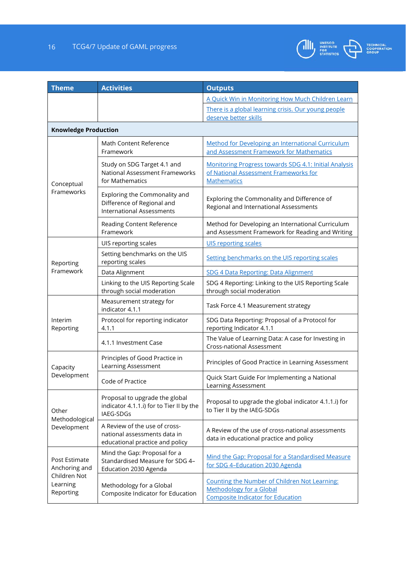

| <b>Theme</b>                                                            | <b>Activities</b>                                                                                | <b>Outputs</b>                                                                                                               |  |  |  |
|-------------------------------------------------------------------------|--------------------------------------------------------------------------------------------------|------------------------------------------------------------------------------------------------------------------------------|--|--|--|
|                                                                         |                                                                                                  | A Quick Win in Monitoring How Much Children Learn                                                                            |  |  |  |
|                                                                         |                                                                                                  | There is a global learning crisis. Our young people<br>deserve better skills                                                 |  |  |  |
| <b>Knowledge Production</b>                                             |                                                                                                  |                                                                                                                              |  |  |  |
| Conceptual<br>Frameworks                                                | Math Content Reference<br>Framework                                                              | Method for Developing an International Curriculum<br>and Assessment Framework for Mathematics                                |  |  |  |
|                                                                         | Study on SDG Target 4.1 and<br>National Assessment Frameworks<br>for Mathematics                 | Monitoring Progress towards SDG 4.1: Initial Analysis<br>of National Assessment Frameworks for<br><b>Mathematics</b>         |  |  |  |
|                                                                         | Exploring the Commonality and<br>Difference of Regional and<br><b>International Assessments</b>  | Exploring the Commonality and Difference of<br>Regional and International Assessments                                        |  |  |  |
|                                                                         | Reading Content Reference<br>Framework                                                           | Method for Developing an International Curriculum<br>and Assessment Framework for Reading and Writing                        |  |  |  |
|                                                                         | UIS reporting scales                                                                             | <b>UIS reporting scales</b>                                                                                                  |  |  |  |
| Reporting                                                               | Setting benchmarks on the UIS<br>reporting scales                                                | Setting benchmarks on the UIS reporting scales                                                                               |  |  |  |
| Framework                                                               | Data Alignment                                                                                   | SDG 4 Data Reporting: Data Alignment                                                                                         |  |  |  |
|                                                                         | Linking to the UIS Reporting Scale<br>through social moderation                                  | SDG 4 Reporting: Linking to the UIS Reporting Scale<br>through social moderation                                             |  |  |  |
|                                                                         | Measurement strategy for<br>indicator 4.1.1                                                      | Task Force 4.1 Measurement strategy                                                                                          |  |  |  |
| Interim<br>Reporting                                                    | Protocol for reporting indicator<br>4.1.1                                                        | SDG Data Reporting: Proposal of a Protocol for<br>reporting Indicator 4.1.1                                                  |  |  |  |
|                                                                         | 4.1.1 Investment Case                                                                            | The Value of Learning Data: A case for Investing in<br>Cross-national Assessment                                             |  |  |  |
| Capacity<br>Development                                                 | Principles of Good Practice in<br>Learning Assessment                                            | Principles of Good Practice in Learning Assessment                                                                           |  |  |  |
|                                                                         | Code of Practice                                                                                 | Quick Start Guide For Implementing a National<br>Learning Assessment                                                         |  |  |  |
| Other<br>Methodological<br>Development                                  | Proposal to upgrade the global<br>indicator 4.1.1.i) for to Tier II by the<br>IAEG-SDGs          | Proposal to upgrade the global indicator 4.1.1.i) for<br>to Tier II by the IAEG-SDGs                                         |  |  |  |
|                                                                         | A Review of the use of cross-<br>national assessments data in<br>educational practice and policy | A Review of the use of cross-national assessments<br>data in educational practice and policy                                 |  |  |  |
| Post Estimate<br>Anchoring and<br>Children Not<br>Learning<br>Reporting | Mind the Gap: Proposal for a<br>Standardised Measure for SDG 4-<br>Education 2030 Agenda         | Mind the Gap: Proposal for a Standardised Measure<br>for SDG 4-Education 2030 Agenda                                         |  |  |  |
|                                                                         | Methodology for a Global<br>Composite Indicator for Education                                    | Counting the Number of Children Not Learning:<br><b>Methodology for a Global</b><br><b>Composite Indicator for Education</b> |  |  |  |